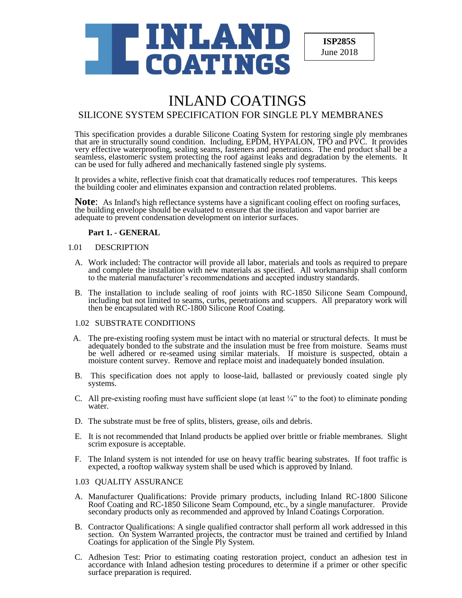

**ISP285S** June 2018

# INLAND COATINGS

## SILICONE SYSTEM SPECIFICATION FOR SINGLE PLY MEMBRANES

This specification provides a durable Silicone Coating System for restoring single ply membranes that are in structurally sound condition. Including, EPDM, HYPALON, TPO and PVC. It provides very effective waterproofing, sealing seams, fasteners and penetrations. The end product shall be a seamless, elastomeric system protecting the roof against leaks and degradation by the elements. It can be used for fully adhered and mechanically fastened single ply systems.

It provides a white, reflective finish coat that dramatically reduces roof temperatures. This keeps the building cooler and eliminates expansion and contraction related problems.

**Note:** As Inland's high reflectance systems have a significant cooling effect on roofing surfaces, the building envelope should be evaluated to ensure that the insulation and vapor barrier are adequate to prevent condensation development on interior surfaces.

## **Part 1. - GENERAL**

#### 1.01 DESCRIPTION

- A. Work included: The contractor will provide all labor, materials and tools as required to prepare and complete the installation with new materials as specified. All workmanship shall conform to the material manufacturer's recommendations and accepted industry standards.
- B. The installation to include sealing of roof joints with RC-1850 Silicone Seam Compound, including but not limited to seams, curbs, penetrations and scuppers. All preparatory work will then be encapsulated with RC-1800 Silicone Roof Coating.

## 1.02 SUBSTRATE CONDITIONS

- A. The pre-existing roofing system must be intact with no material or structural defects. It must be adequately bonded to the substrate and the insulation must be free from moisture. Seams must be well adhered or re-seamed using similar materials. If moisture is suspected, obtain a moisture content survey. Remove and replace moist and inadequately bonded insulation.
- B. This specification does not apply to loose-laid, ballasted or previously coated single ply systems.
- C. All pre-existing roofing must have sufficient slope (at least  $\frac{1}{4}$ " to the foot) to eliminate ponding water.
- D. The substrate must be free of splits, blisters, grease, oils and debris.
- E. It is not recommended that Inland products be applied over brittle or friable membranes. Slight scrim exposure is acceptable.
- F. The Inland system is not intended for use on heavy traffic bearing substrates. If foot traffic is expected, a rooftop walkway system shall be used which is approved by Inland.

## 1.03 QUALITY ASSURANCE

- A. Manufacturer Qualifications: Provide primary products, including Inland RC-1800 Silicone Roof Coating and RC-1850 Silicone Seam Compound, etc., by a single manufacturer. Provide secondary products only as recommended and approved by Inland Coatings Corporation.
- B. Contractor Qualifications: A single qualified contractor shall perform all work addressed in this section. On System Warranted projects, the contractor must be trained and certified by Inland Coatings for application of the Single Ply System.
- C. Adhesion Test: Prior to estimating coating restoration project, conduct an adhesion test in accordance with Inland adhesion testing procedures to determine if a primer or other specific surface preparation is required.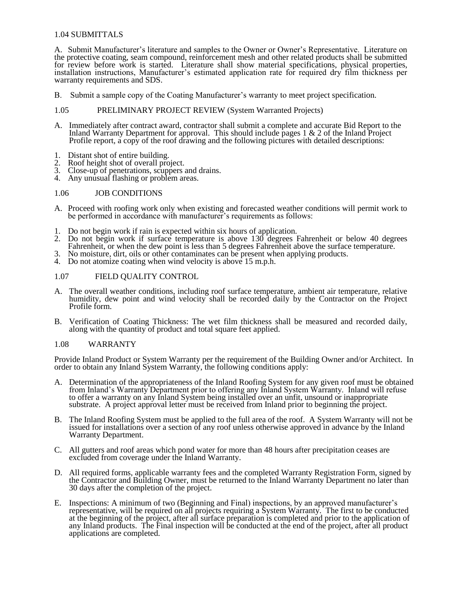## 1.04 SUBMITTALS

A. Submit Manufacturer's literature and samples to the Owner or Owner's Representative. Literature on the protective coating, seam compound, reinforcement mesh and other related products shall be submitted for review before work is started. Literature shall show material specifications, physical properties, installation instructions, Manufacturer's estimated application rate for required dry film thickness per warranty requirements and SDS.

B. Submit a sample copy of the Coating Manufacturer's warranty to meet project specification.

#### 1.05 PRELIMINARY PROJECT REVIEW (System Warranted Projects)

- A. Immediately after contract award, contractor shall submit a complete and accurate Bid Report to the Inland Warranty Department for approval. This should include pages  $1 \& 2$  of the Inland Project Profile report, a copy of the roof drawing and the following pictures with detailed descriptions:
- 
- 1. Distant shot of entire building.<br>2. Roof height shot of overall pro
- 2. Roof height shot of overall project.<br>3. Close-up of penetrations, scuppers Close-up of penetrations, scuppers and drains.
- 4. Any unusual flashing or problem areas.

#### 1.06 JOB CONDITIONS

- A. Proceed with roofing work only when existing and forecasted weather conditions will permit work to be performed in accordance with manufacturer's requirements as follows:
- 1. Do not begin work if rain is expected within six hours of application.
- 2. Do not begin work if surface temperature is above 130 degrees Fahrenheit or below 40 degrees Fahrenheit, or when the dew point is less than 5 degrees Fahrenheit above the surface temperature.
- 3. No moisture, dirt, oils or other contaminates can be present when applying products.
- 4. Do not atomize coating when wind velocity is above 15 m.p.h.

#### 1.07 FIELD QUALITY CONTROL

- A. The overall weather conditions, including roof surface temperature, ambient air temperature, relative humidity, dew point and wind velocity shall be recorded daily by the Contractor on the Project Profile form.
- B. Verification of Coating Thickness: The wet film thickness shall be measured and recorded daily, along with the quantity of product and total square feet applied.

#### 1.08 WARRANTY

Provide Inland Product or System Warranty per the requirement of the Building Owner and/or Architect. In order to obtain any Inland System Warranty, the following conditions apply:

- A. Determination of the appropriateness of the Inland Roofing System for any given roof must be obtained from Inland's Warranty Department prior to offering any Inland System Warranty. Inland will refuse to offer a warranty on any Inland System being installed over an unfit, unsound or inappropriate substrate. A project approval letter must be received from Inland prior to beginning the project.
- B. The Inland Roofing System must be applied to the full area of the roof. A System Warranty will not be issued for installations over a section of any roof unless otherwise approved in advance by the Inland Warranty Department.
- C. All gutters and roof areas which pond water for more than 48 hours after precipitation ceases are excluded from coverage under the Inland Warranty.
- D. All required forms, applicable warranty fees and the completed Warranty Registration Form, signed by the Contractor and Building Owner, must be returned to the Inland Warranty Department no later than 30 days after the completion of the project.
- E. Inspections: A minimum of two (Beginning and Final) inspections, by an approved manufacturer's representative, will be required on all projects requiring a System Warranty. The first to be conducted at the beginning of the project, after all surface preparation is completed and prior to the application of any Inland products. The Final inspection will be conducted at the end of the project, after all product applications are completed.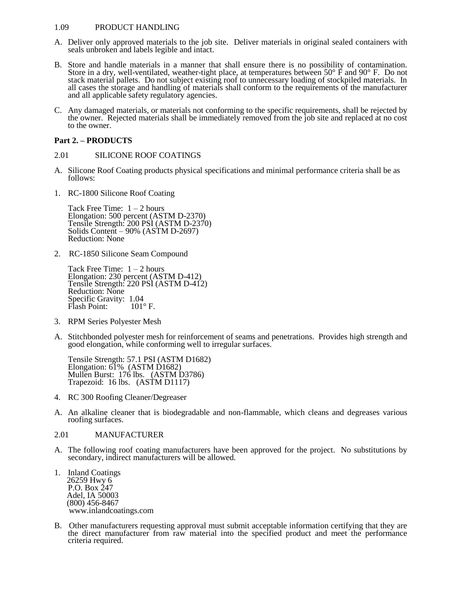## 1.09 PRODUCT HANDLING

- A. Deliver only approved materials to the job site. Deliver materials in original sealed containers with seals unbroken and labels legible and intact.
- B. Store and handle materials in a manner that shall ensure there is no possibility of contamination. Store in a dry, well-ventilated, weather-tight place, at temperatures between 50° F and 90° F. Do not stack material pallets. Do not subject existing roof to unnecessary loading of stockpiled materials. In all cases the storage and handling of materials shall conform to the requirements of the manufacturer and all applicable safety regulatory agencies.
- C. Any damaged materials, or materials not conforming to the specific requirements, shall be rejected by the owner. Rejected materials shall be immediately removed from the job site and replaced at no cost to the owner.

## **Part 2. – PRODUCTS**

## 2.01 SILICONE ROOF COATINGS

- A. Silicone Roof Coating products physical specifications and minimal performance criteria shall be as follows:
- 1. RC-1800 Silicone Roof Coating

Tack Free Time:  $1 - 2$  hours Elongation: 500 percent (ASTM D-2370) Tensile Strength: 200 PSI (ASTM D-2370) Solids Content – 90% (ASTM D-2697) Reduction: None

2. RC-1850 Silicone Seam Compound

Tack Free Time:  $1 - 2$  hours Elongation: 230 percent (ASTM D-412) Tensile Strength: 220 PSI (ASTM D-412) Reduction: None Specific Gravity: 1.04 Flash Point:  $101^\circ$  F.

- 3. RPM Series Polyester Mesh
- A. Stitchbonded polyester mesh for reinforcement of seams and penetrations. Provides high strength and good elongation, while conforming well to irregular surfaces.

Tensile Strength: 57.1 PSI (ASTM D1682) Elongation: 61% (ASTM D1682) Mullen Burst: 176 lbs. (ASTM D3786) Trapezoid: 16 lbs. (ASTM D1117)

- 4. RC 300 Roofing Cleaner/Degreaser
- A. An alkaline cleaner that is biodegradable and non-flammable, which cleans and degreases various roofing surfaces.

## 2.01 MANUFACTURER

- A. The following roof coating manufacturers have been approved for the project. No substitutions by secondary, indirect manufacturers will be allowed.
- 1. Inland Coatings 26259 Hwy 6 P.O. Box 247 Adel, IA 50003 (800) 456-8467 www.inlandcoatings.com
- B. Other manufacturers requesting approval must submit acceptable information certifying that they are the direct manufacturer from raw material into the specified product and meet the performance criteria required.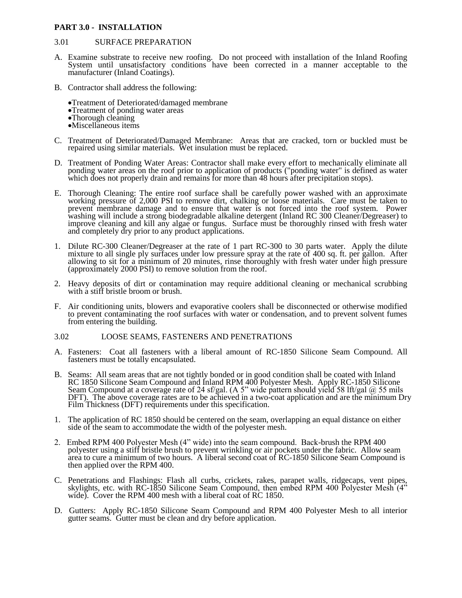## **PART 3.0 - INSTALLATION**

#### 3.01 SURFACE PREPARATION

- A. Examine substrate to receive new roofing. Do not proceed with installation of the Inland Roofing System until unsatisfactory conditions have been corrected in a manner acceptable to the manufacturer (Inland Coatings).
- B. Contractor shall address the following:
	- Treatment of Deteriorated/damaged membrane
	- Treatment of ponding water areas
	- •Thorough cleaning
	- Miscellaneous items
- C. Treatment of Deteriorated/Damaged Membrane: Areas that are cracked, torn or buckled must be repaired using similar materials. Wet insulation must be replaced.
- D. Treatment of Ponding Water Areas: Contractor shall make every effort to mechanically eliminate all ponding water areas on the roof prior to application of products ("ponding water" is defined as water which does not properly drain and remains for more than 48 hours after precipitation stops).
- E. Thorough Cleaning: The entire roof surface shall be carefully power washed with an approximate working pressure of 2,000 PSI to remove dirt, chalking or loose materials. Care must be taken to prevent membrane damage and to ensure that water is not forced into the roof system. Power washing will include a strong biodegradable alkaline detergent (Inland RC 300 Cleaner/Degreaser) to improve cleaning and kill any algae or fungus. Surface must be thoroughly rinsed with fresh water and completely dry prior to any product applications.
- 1. Dilute RC-300 Cleaner/Degreaser at the rate of 1 part RC-300 to 30 parts water. Apply the dilute mixture to all single ply surfaces under low pressure spray at the rate of 400 sq. ft. per gallon. After allowing to sit for a minimum of 20 minutes, rinse thoroughly with fresh water under high pressure (approximately 2000 PSI) to remove solution from the roof.
- 2. Heavy deposits of dirt or contamination may require additional cleaning or mechanical scrubbing with a stiff bristle broom or brush.
- F. Air conditioning units, blowers and evaporative coolers shall be disconnected or otherwise modified to prevent contaminating the roof surfaces with water or condensation, and to prevent solvent fumes from entering the building.

#### 3.02 LOOSE SEAMS, FASTENERS AND PENETRATIONS

- A. Fasteners: Coat all fasteners with a liberal amount of RC-1850 Silicone Seam Compound. All fasteners must be totally encapsulated.
- B. Seams: All seam areas that are not tightly bonded or in good condition shall be coated with Inland RC 1850 Silicone Seam Compound and Inland RPM 400 Polyester Mesh. Apply RC-1850 Silicone Seam Compound at a coverage rate of 24 sf/gal. (A 5" wide pattern should yield 58 lft/gal @ 55 mils DFT). The above coverage rates are to be achieved in a two-coat application and are the minimum Dry Film Thickness (DFT) requirements under this specification.
- 1. The application of RC 1850 should be centered on the seam, overlapping an equal distance on either side of the seam to accommodate the width of the polyester mesh.
- 2. Embed RPM 400 Polyester Mesh (4" wide) into the seam compound. Back-brush the RPM 400 polyester using a stiff bristle brush to prevent wrinkling or air pockets under the fabric. Allow seam area to cure a minimum of two hours. A liberal second coat of RC-1850 Silicone Seam Compound is then applied over the RPM 400.
- C. Penetrations and Flashings: Flash all curbs, crickets, rakes, parapet walls, ridgecaps, vent pipes, skylights, etc. with RC-1850 Silicone Seam Compound, then embed RPM 400 Polyester Mesh (4<sup>35</sup>) wide). Cover the RPM 400 mesh with a liberal coat of RC 1850.
- D. Gutters: Apply RC-1850 Silicone Seam Compound and RPM 400 Polyester Mesh to all interior gutter seams. Gutter must be clean and dry before application.